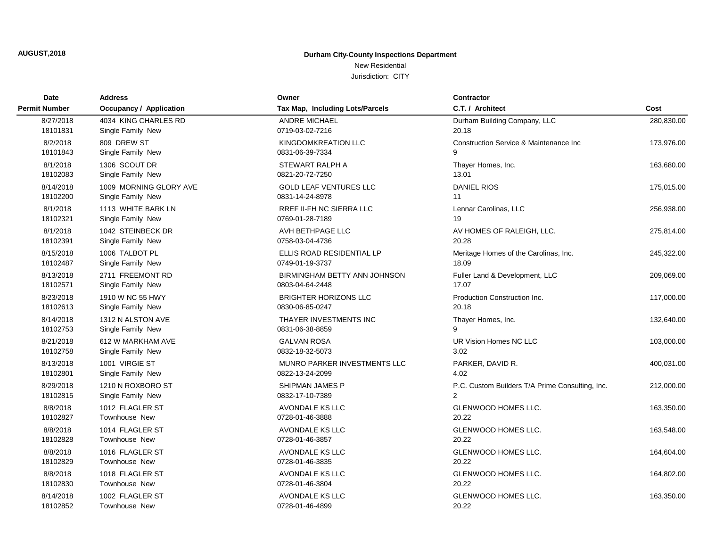**AUGUST,2018**

### **Durham City-County Inspections Department**

# New Residential

| Date                 | <b>Address</b>                 | Owner                           | <b>Contractor</b>                               |            |
|----------------------|--------------------------------|---------------------------------|-------------------------------------------------|------------|
| <b>Permit Number</b> | <b>Occupancy / Application</b> | Tax Map, Including Lots/Parcels | C.T. / Architect                                | Cost       |
| 8/27/2018            | 4034 KING CHARLES RD           | <b>ANDRE MICHAEL</b>            | Durham Building Company, LLC                    | 280,830.00 |
| 18101831             | Single Family New              | 0719-03-02-7216                 | 20.18                                           |            |
| 8/2/2018             | 809 DREW ST                    | KINGDOMKREATION LLC             | Construction Service & Maintenance Inc          | 173,976.00 |
| 18101843             | Single Family New              | 0831-06-39-7334                 | 9                                               |            |
| 8/1/2018             | 1306 SCOUT DR                  | STEWART RALPH A                 | Thayer Homes, Inc.                              | 163,680.00 |
| 18102083             | Single Family New              | 0821-20-72-7250                 | 13.01                                           |            |
| 8/14/2018            | 1009 MORNING GLORY AVE         | <b>GOLD LEAF VENTURES LLC</b>   | <b>DANIEL RIOS</b>                              | 175,015.00 |
| 18102200             | Single Family New              | 0831-14-24-8978                 | 11                                              |            |
| 8/1/2018             | 1113 WHITE BARK LN             | <b>RREF II-FH NC SIERRA LLC</b> | Lennar Carolinas, LLC                           | 256,938.00 |
| 18102321             | Single Family New              | 0769-01-28-7189                 | 19                                              |            |
| 8/1/2018             | 1042 STEINBECK DR              | AVH BETHPAGE LLC                | AV HOMES OF RALEIGH, LLC.                       | 275,814.00 |
| 18102391             | Single Family New              | 0758-03-04-4736                 | 20.28                                           |            |
| 8/15/2018            | 1006 TALBOT PL                 | ELLIS ROAD RESIDENTIAL LP       | Meritage Homes of the Carolinas, Inc.           | 245,322.00 |
| 18102487             | Single Family New              | 0749-01-19-3737                 | 18.09                                           |            |
| 8/13/2018            | 2711 FREEMONT RD               | BIRMINGHAM BETTY ANN JOHNSON    | Fuller Land & Development, LLC                  | 209,069.00 |
| 18102571             | Single Family New              | 0803-04-64-2448                 | 17.07                                           |            |
| 8/23/2018            | 1910 W NC 55 HWY               | <b>BRIGHTER HORIZONS LLC</b>    | Production Construction Inc.                    | 117,000.00 |
| 18102613             | Single Family New              | 0830-06-85-0247                 | 20.18                                           |            |
| 8/14/2018            | 1312 N ALSTON AVE              | THAYER INVESTMENTS INC          | Thayer Homes, Inc.                              | 132,640.00 |
| 18102753             | Single Family New              | 0831-06-38-8859                 | g                                               |            |
| 8/21/2018            | 612 W MARKHAM AVE              | <b>GALVAN ROSA</b>              | UR Vision Homes NC LLC                          | 103,000.00 |
| 18102758             | Single Family New              | 0832-18-32-5073                 | 3.02                                            |            |
| 8/13/2018            | 1001 VIRGIE ST                 | MUNRO PARKER INVESTMENTS LLC    | PARKER, DAVID R.                                | 400,031.00 |
| 18102801             | Single Family New              | 0822-13-24-2099                 | 4.02                                            |            |
| 8/29/2018            | 1210 N ROXBORO ST              | SHIPMAN JAMES P                 | P.C. Custom Builders T/A Prime Consulting, Inc. | 212,000.00 |
| 18102815             | Single Family New              | 0832-17-10-7389                 | $\overline{2}$                                  |            |
| 8/8/2018             | 1012 FLAGLER ST                | AVONDALE KS LLC                 | <b>GLENWOOD HOMES LLC.</b>                      | 163,350.00 |
| 18102827             | Townhouse New                  | 0728-01-46-3888                 | 20.22                                           |            |
| 8/8/2018             | 1014 FLAGLER ST                | AVONDALE KS LLC                 | GLENWOOD HOMES LLC.                             | 163,548.00 |
| 18102828             | Townhouse New                  | 0728-01-46-3857                 | 20.22                                           |            |
| 8/8/2018             | 1016 FLAGLER ST                | <b>AVONDALE KS LLC</b>          | <b>GLENWOOD HOMES LLC.</b>                      | 164,604.00 |
| 18102829             | Townhouse New                  | 0728-01-46-3835                 | 20.22                                           |            |
| 8/8/2018             | 1018 FLAGLER ST                | AVONDALE KS LLC                 | GLENWOOD HOMES LLC.                             | 164,802.00 |
| 18102830             | Townhouse New                  | 0728-01-46-3804                 | 20.22                                           |            |
| 8/14/2018            | 1002 FLAGLER ST                | <b>AVONDALE KS LLC</b>          | <b>GLENWOOD HOMES LLC.</b>                      | 163,350.00 |
| 18102852             | Townhouse New                  | 0728-01-46-4899                 | 20.22                                           |            |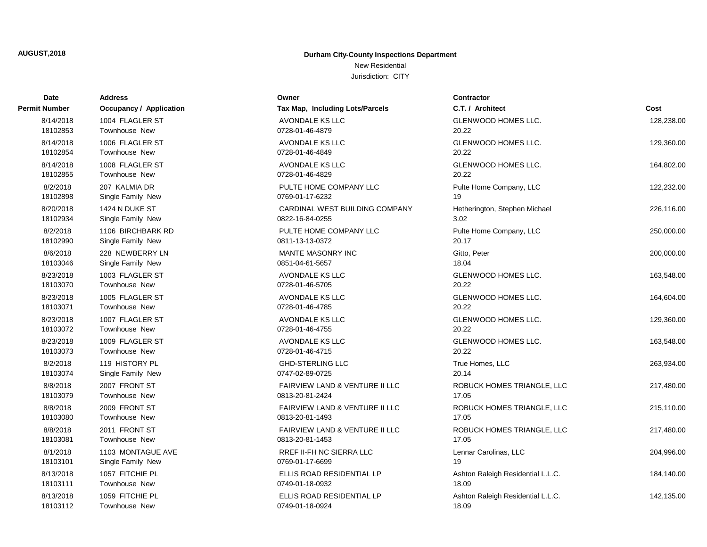New Residential

| Date          | <b>Address</b>                 | Owner                           | Contractor                        |            |
|---------------|--------------------------------|---------------------------------|-----------------------------------|------------|
| Permit Number | <b>Occupancy / Application</b> | Tax Map, Including Lots/Parcels | C.T. / Architect                  | Cost       |
| 8/14/2018     | 1004 FLAGLER ST                | AVONDALE KS LLC                 | GLENWOOD HOMES LLC.               | 128,238.00 |
| 18102853      | Townhouse New                  | 0728-01-46-4879                 | 20.22                             |            |
| 8/14/2018     | 1006 FLAGLER ST                | AVONDALE KS LLC                 | <b>GLENWOOD HOMES LLC.</b>        | 129,360.00 |
| 18102854      | Townhouse New                  | 0728-01-46-4849                 | 20.22                             |            |
| 8/14/2018     | 1008 FLAGLER ST                | AVONDALE KS LLC                 | <b>GLENWOOD HOMES LLC.</b>        | 164,802.00 |
| 18102855      | <b>Townhouse New</b>           | 0728-01-46-4829                 | 20.22                             |            |
| 8/2/2018      | 207 KALMIA DR                  | PULTE HOME COMPANY LLC          | Pulte Home Company, LLC           | 122,232.00 |
| 18102898      | Single Family New              | 0769-01-17-6232                 | 19                                |            |
| 8/20/2018     | 1424 N DUKE ST                 | CARDINAL WEST BUILDING COMPANY  | Hetherington, Stephen Michael     | 226,116.00 |
| 18102934      | Single Family New              | 0822-16-84-0255                 | 3.02                              |            |
| 8/2/2018      | 1106 BIRCHBARK RD              | PULTE HOME COMPANY LLC          | Pulte Home Company, LLC           | 250,000.00 |
| 18102990      | Single Family New              | 0811-13-13-0372                 | 20.17                             |            |
| 8/6/2018      | 228 NEWBERRY LN                | MANTE MASONRY INC               | Gitto, Peter                      | 200,000.00 |
| 18103046      | Single Family New              | 0851-04-61-5657                 | 18.04                             |            |
| 8/23/2018     | 1003 FLAGLER ST                | AVONDALE KS LLC                 | GLENWOOD HOMES LLC.               | 163,548.00 |
| 18103070      | Townhouse New                  | 0728-01-46-5705                 | 20.22                             |            |
| 8/23/2018     | 1005 FLAGLER ST                | AVONDALE KS LLC                 | GLENWOOD HOMES LLC.               | 164,604.00 |
| 18103071      | Townhouse New                  | 0728-01-46-4785                 | 20.22                             |            |
| 8/23/2018     | 1007 FLAGLER ST                | AVONDALE KS LLC                 | GLENWOOD HOMES LLC.               | 129,360.00 |
| 18103072      | Townhouse New                  | 0728-01-46-4755                 | 20.22                             |            |
| 8/23/2018     | 1009 FLAGLER ST                | AVONDALE KS LLC                 | GLENWOOD HOMES LLC.               | 163,548.00 |
| 18103073      | Townhouse New                  | 0728-01-46-4715                 | 20.22                             |            |
| 8/2/2018      | 119 HISTORY PL                 | <b>GHD-STERLING LLC</b>         | True Homes, LLC                   | 263,934.00 |
| 18103074      | Single Family New              | 0747-02-89-0725                 | 20.14                             |            |
| 8/8/2018      | 2007 FRONT ST                  | FAIRVIEW LAND & VENTURE II LLC  | ROBUCK HOMES TRIANGLE, LLC        | 217,480.00 |
| 18103079      | Townhouse New                  | 0813-20-81-2424                 | 17.05                             |            |
| 8/8/2018      | 2009 FRONT ST                  | FAIRVIEW LAND & VENTURE II LLC  | ROBUCK HOMES TRIANGLE, LLC        | 215,110.00 |
| 18103080      | Townhouse New                  | 0813-20-81-1493                 | 17.05                             |            |
| 8/8/2018      | 2011 FRONT ST                  | FAIRVIEW LAND & VENTURE II LLC  | ROBUCK HOMES TRIANGLE, LLC        | 217,480.00 |
| 18103081      | <b>Townhouse New</b>           | 0813-20-81-1453                 | 17.05                             |            |
| 8/1/2018      | 1103 MONTAGUE AVE              | RREF II-FH NC SIERRA LLC        | Lennar Carolinas, LLC             | 204,996.00 |
| 18103101      | Single Family New              | 0769-01-17-6699                 | 19                                |            |
| 8/13/2018     | 1057 FITCHIE PL                | ELLIS ROAD RESIDENTIAL LP       | Ashton Raleigh Residential L.L.C. | 184,140.00 |
| 18103111      | Townhouse New                  | 0749-01-18-0932                 | 18.09                             |            |
| 8/13/2018     | 1059 FITCHIE PL                | ELLIS ROAD RESIDENTIAL LP       | Ashton Raleigh Residential L.L.C. | 142,135.00 |
| 18103112      | Townhouse New                  | 0749-01-18-0924                 | 18.09                             |            |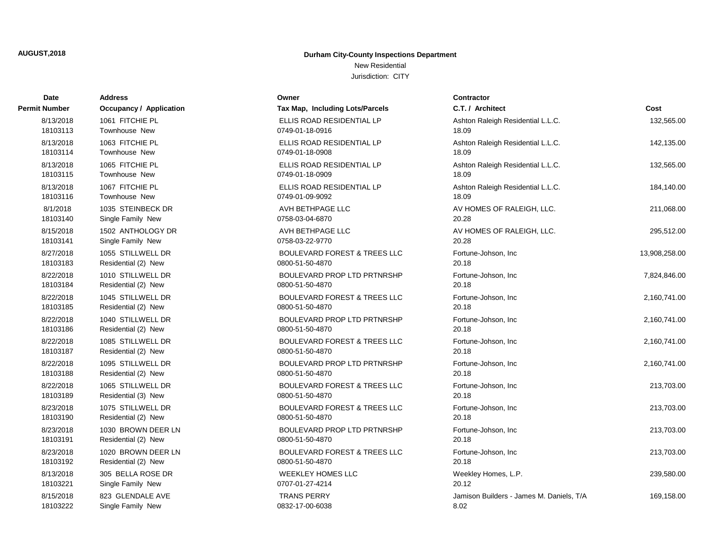New Residential

| Date          | <b>Address</b>          | Owner                                   | <b>Contractor</b>                        |               |
|---------------|-------------------------|-----------------------------------------|------------------------------------------|---------------|
| Permit Number | Occupancy / Application | Tax Map, Including Lots/Parcels         | C.T. / Architect                         | Cost          |
| 8/13/2018     | 1061 FITCHIE PL         | ELLIS ROAD RESIDENTIAL LP               | Ashton Raleigh Residential L.L.C.        | 132,565.00    |
| 18103113      | Townhouse New           | 0749-01-18-0916                         | 18.09                                    |               |
| 8/13/2018     | 1063 FITCHIE PL         | ELLIS ROAD RESIDENTIAL LP               | Ashton Raleigh Residential L.L.C.        | 142,135.00    |
| 18103114      | <b>Townhouse New</b>    | 0749-01-18-0908                         | 18.09                                    |               |
| 8/13/2018     | 1065 FITCHIE PL         | ELLIS ROAD RESIDENTIAL LP               | Ashton Raleigh Residential L.L.C.        | 132,565.00    |
| 18103115      | <b>Townhouse New</b>    | 0749-01-18-0909                         | 18.09                                    |               |
| 8/13/2018     | 1067 FITCHIE PL         | ELLIS ROAD RESIDENTIAL LP               | Ashton Raleigh Residential L.L.C.        | 184,140.00    |
| 18103116      | <b>Townhouse New</b>    | 0749-01-09-9092                         | 18.09                                    |               |
| 8/1/2018      | 1035 STEINBECK DR       | AVH BETHPAGE LLC                        | AV HOMES OF RALEIGH, LLC.                | 211,068.00    |
| 18103140      | Single Family New       | 0758-03-04-6870                         | 20.28                                    |               |
| 8/15/2018     | 1502 ANTHOLOGY DR       | AVH BETHPAGE LLC                        | AV HOMES OF RALEIGH, LLC.                | 295,512.00    |
| 18103141      | Single Family New       | 0758-03-22-9770                         | 20.28                                    |               |
| 8/27/2018     | 1055 STILLWELL DR       | <b>BOULEVARD FOREST &amp; TREES LLC</b> | Fortune-Johson, Inc                      | 13,908,258.00 |
| 18103183      | Residential (2) New     | 0800-51-50-4870                         | 20.18                                    |               |
| 8/22/2018     | 1010 STILLWELL DR       | BOULEVARD PROP LTD PRTNRSHP             | Fortune-Johson, Inc                      | 7,824,846.00  |
| 18103184      | Residential (2) New     | 0800-51-50-4870                         | 20.18                                    |               |
| 8/22/2018     | 1045 STILLWELL DR       | <b>BOULEVARD FOREST &amp; TREES LLC</b> | Fortune-Johson, Inc.                     | 2,160,741.00  |
| 18103185      | Residential (2) New     | 0800-51-50-4870                         | 20.18                                    |               |
| 8/22/2018     | 1040 STILLWELL DR       | BOULEVARD PROP LTD PRTNRSHP             | Fortune-Johson, Inc                      | 2,160,741.00  |
| 18103186      | Residential (2) New     | 0800-51-50-4870                         | 20.18                                    |               |
| 8/22/2018     | 1085 STILLWELL DR       | <b>BOULEVARD FOREST &amp; TREES LLC</b> | Fortune-Johson, Inc                      | 2,160,741.00  |
| 18103187      | Residential (2) New     | 0800-51-50-4870                         | 20.18                                    |               |
| 8/22/2018     | 1095 STILLWELL DR       | <b>BOULEVARD PROP LTD PRTNRSHP</b>      | Fortune-Johson, Inc.                     | 2,160,741.00  |
| 18103188      | Residential (2) New     | 0800-51-50-4870                         | 20.18                                    |               |
| 8/22/2018     | 1065 STILLWELL DR       | <b>BOULEVARD FOREST &amp; TREES LLC</b> | Fortune-Johson, Inc                      | 213,703.00    |
| 18103189      | Residential (3) New     | 0800-51-50-4870                         | 20.18                                    |               |
| 8/23/2018     | 1075 STILLWELL DR       | <b>BOULEVARD FOREST &amp; TREES LLC</b> | Fortune-Johson, Inc                      | 213,703.00    |
| 18103190      | Residential (2) New     | 0800-51-50-4870                         | 20.18                                    |               |
| 8/23/2018     | 1030 BROWN DEER LN      | BOULEVARD PROP LTD PRTNRSHP             | Fortune-Johson, Inc.                     | 213,703.00    |
| 18103191      | Residential (2) New     | 0800-51-50-4870                         | 20.18                                    |               |
| 8/23/2018     | 1020 BROWN DEER LN      | <b>BOULEVARD FOREST &amp; TREES LLC</b> | Fortune-Johson, Inc.                     | 213,703.00    |
| 18103192      | Residential (2) New     | 0800-51-50-4870                         | 20.18                                    |               |
| 8/13/2018     | 305 BELLA ROSE DR       | <b>WEEKLEY HOMES LLC</b>                | Weekley Homes, L.P.                      | 239,580.00    |
| 18103221      | Single Family New       | 0707-01-27-4214                         | 20.12                                    |               |
| 8/15/2018     | 823 GLENDALE AVE        | <b>TRANS PERRY</b>                      | Jamison Builders - James M. Daniels, T/A | 169,158.00    |
| 18103222      | Single Family New       | 0832-17-00-6038                         | 8.02                                     |               |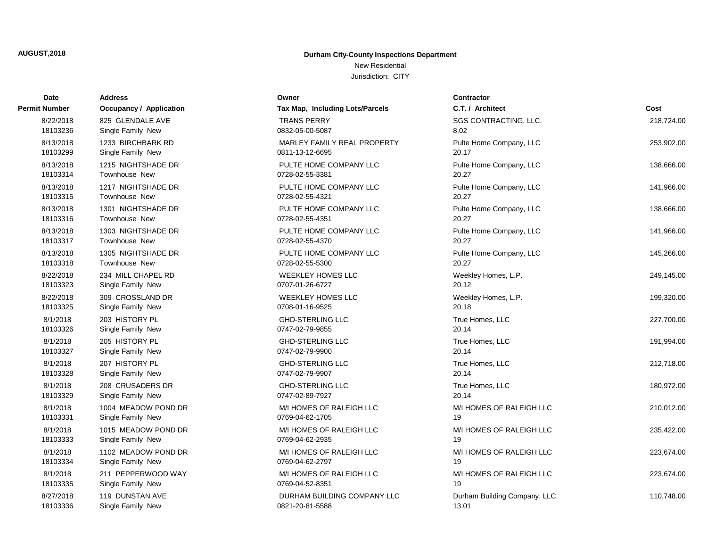New Residential

| Date          | <b>Address</b>                 | Owner                           | <b>Contractor</b>            |            |
|---------------|--------------------------------|---------------------------------|------------------------------|------------|
| Permit Number | <b>Occupancy / Application</b> | Tax Map, Including Lots/Parcels | C.T. / Architect             | Cost       |
| 8/22/2018     | 825 GLENDALE AVE               | <b>TRANS PERRY</b>              | SGS CONTRACTING, LLC.        | 218,724.00 |
| 18103236      | Single Family New              | 0832-05-00-5087                 | 8.02                         |            |
| 8/13/2018     | 1233 BIRCHBARK RD              | MARLEY FAMILY REAL PROPERTY     | Pulte Home Company, LLC      | 253,902.00 |
| 18103299      | Single Family New              | 0811-13-12-6695                 | 20.17                        |            |
| 8/13/2018     | 1215 NIGHTSHADE DR             | PULTE HOME COMPANY LLC          | Pulte Home Company, LLC      | 138,666.00 |
| 18103314      | <b>Townhouse New</b>           | 0728-02-55-3381                 | 20.27                        |            |
| 8/13/2018     | 1217 NIGHTSHADE DR             | PULTE HOME COMPANY LLC          | Pulte Home Company, LLC      | 141,966.00 |
| 18103315      | <b>Townhouse New</b>           | 0728-02-55-4321                 | 20.27                        |            |
| 8/13/2018     | 1301 NIGHTSHADE DR             | PULTE HOME COMPANY LLC          | Pulte Home Company, LLC      | 138,666.00 |
| 18103316      | Townhouse New                  | 0728-02-55-4351                 | 20.27                        |            |
| 8/13/2018     | 1303 NIGHTSHADE DR             | PULTE HOME COMPANY LLC          | Pulte Home Company, LLC      | 141,966.00 |
| 18103317      | <b>Townhouse New</b>           | 0728-02-55-4370                 | 20.27                        |            |
| 8/13/2018     | 1305 NIGHTSHADE DR             | PULTE HOME COMPANY LLC          | Pulte Home Company, LLC      | 145,266.00 |
| 18103318      | Townhouse New                  | 0728-02-55-5300                 | 20.27                        |            |
| 8/22/2018     | 234 MILL CHAPEL RD             | <b>WEEKLEY HOMES LLC</b>        | Weekley Homes, L.P.          | 249,145.00 |
| 18103323      | Single Family New              | 0707-01-26-6727                 | 20.12                        |            |
| 8/22/2018     | 309 CROSSLAND DR               | <b>WEEKLEY HOMES LLC</b>        | Weekley Homes, L.P.          | 199,320.00 |
| 18103325      | Single Family New              | 0708-01-16-9525                 | 20.18                        |            |
| 8/1/2018      | 203 HISTORY PL                 | <b>GHD-STERLING LLC</b>         | True Homes, LLC              | 227,700.00 |
| 18103326      | Single Family New              | 0747-02-79-9855                 | 20.14                        |            |
| 8/1/2018      | 205 HISTORY PL                 | <b>GHD-STERLING LLC</b>         | True Homes, LLC              | 191,994.00 |
| 18103327      | Single Family New              | 0747-02-79-9900                 | 20.14                        |            |
| 8/1/2018      | 207 HISTORY PL                 | <b>GHD-STERLING LLC</b>         | True Homes, LLC              | 212,718.00 |
| 18103328      | Single Family New              | 0747-02-79-9907                 | 20.14                        |            |
| 8/1/2018      | 208 CRUSADERS DR               | <b>GHD-STERLING LLC</b>         | True Homes, LLC              | 180,972.00 |
| 18103329      | Single Family New              | 0747-02-89-7927                 | 20.14                        |            |
| 8/1/2018      | 1004 MEADOW POND DR            | M/I HOMES OF RALEIGH LLC        | M/I HOMES OF RALEIGH LLC     | 210,012.00 |
| 18103331      | Single Family New              | 0769-04-62-1705                 | 19                           |            |
| 8/1/2018      | 1015 MEADOW POND DR            | M/I HOMES OF RALEIGH LLC        | M/I HOMES OF RALEIGH LLC     | 235,422.00 |
| 18103333      | Single Family New              | 0769-04-62-2935                 | 19                           |            |
| 8/1/2018      | 1102 MEADOW POND DR            | M/I HOMES OF RALEIGH LLC        | M/I HOMES OF RALEIGH LLC     | 223,674.00 |
| 18103334      | Single Family New              | 0769-04-62-2797                 | 19                           |            |
| 8/1/2018      | 211 PEPPERWOOD WAY             | M/I HOMES OF RALEIGH LLC        | M/I HOMES OF RALEIGH LLC     | 223,674.00 |
| 18103335      | Single Family New              | 0769-04-52-8351                 | 19                           |            |
| 8/27/2018     | 119 DUNSTAN AVE                | DURHAM BUILDING COMPANY LLC     | Durham Building Company, LLC | 110,748.00 |
| 18103336      | Single Family New              | 0821-20-81-5588                 | 13.01                        |            |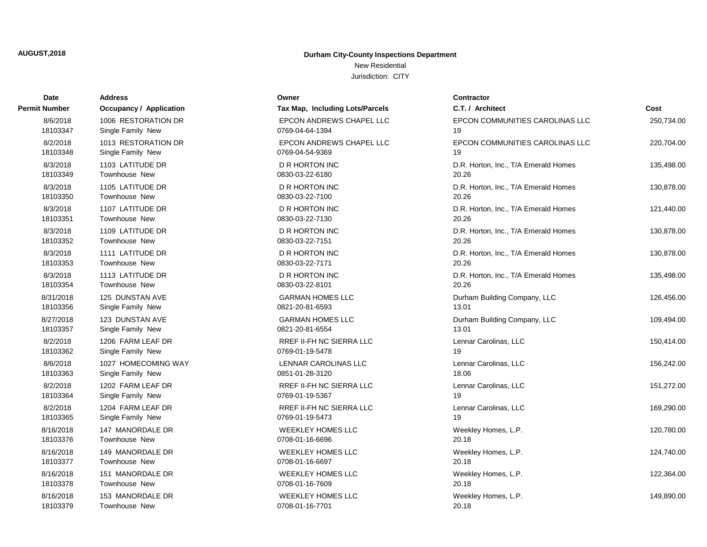New Residential

| Date          | <b>Address</b>                 | Owner                           | Contractor                           |            |
|---------------|--------------------------------|---------------------------------|--------------------------------------|------------|
| Permit Number | <b>Occupancy / Application</b> | Tax Map, Including Lots/Parcels | C.T. / Architect                     | Cost       |
| 8/6/2018      | 1006 RESTORATION DR            | EPCON ANDREWS CHAPEL LLC        | EPCON COMMUNITIES CAROLINAS LLC      | 250,734.00 |
| 18103347      | Single Family New              | 0769-04-64-1394                 | 19                                   |            |
| 8/2/2018      | 1013 RESTORATION DR            | EPCON ANDREWS CHAPEL LLC        | EPCON COMMUNITIES CAROLINAS LLC      | 220,704.00 |
| 18103348      | Single Family New              | 0769-04-54-9369                 | 19                                   |            |
| 8/3/2018      | 1103 LATITUDE DR               | <b>D R HORTON INC</b>           | D.R. Horton, Inc., T/A Emerald Homes | 135,498.00 |
| 18103349      | <b>Townhouse New</b>           | 0830-03-22-6180                 | 20.26                                |            |
| 8/3/2018      | 1105 LATITUDE DR               | <b>D R HORTON INC</b>           | D.R. Horton, Inc., T/A Emerald Homes | 130,878.00 |
| 18103350      | Townhouse New                  | 0830-03-22-7100                 | 20.26                                |            |
| 8/3/2018      | 1107 LATITUDE DR               | <b>D R HORTON INC</b>           | D.R. Horton, Inc., T/A Emerald Homes | 121,440.00 |
| 18103351      | Townhouse New                  | 0830-03-22-7130                 | 20.26                                |            |
| 8/3/2018      | 1109 LATITUDE DR               | <b>D R HORTON INC</b>           | D.R. Horton, Inc., T/A Emerald Homes | 130,878.00 |
| 18103352      | <b>Townhouse New</b>           | 0830-03-22-7151                 | 20.26                                |            |
| 8/3/2018      | 1111 LATITUDE DR               | <b>D R HORTON INC</b>           | D.R. Horton, Inc., T/A Emerald Homes | 130,878.00 |
| 18103353      | Townhouse New                  | 0830-03-22-7171                 | 20.26                                |            |
| 8/3/2018      | 1113 LATITUDE DR               | <b>D R HORTON INC</b>           | D.R. Horton, Inc., T/A Emerald Homes | 135,498.00 |
| 18103354      | Townhouse New                  | 0830-03-22-8101                 | 20.26                                |            |
| 8/31/2018     | 125 DUNSTAN AVE                | <b>GARMAN HOMES LLC</b>         | Durham Building Company, LLC         | 126,456.00 |
| 18103356      | Single Family New              | 0821-20-81-6593                 | 13.01                                |            |
| 8/27/2018     | 123 DUNSTAN AVE                | <b>GARMAN HOMES LLC</b>         | Durham Building Company, LLC         | 109,494.00 |
| 18103357      | Single Family New              | 0821-20-81-6554                 | 13.01                                |            |
| 8/2/2018      | 1206 FARM LEAF DR              | RREF II-FH NC SIERRA LLC        | Lennar Carolinas, LLC                | 150,414.00 |
| 18103362      | Single Family New              | 0769-01-19-5478                 | 19                                   |            |
| 8/6/2018      | 1027 HOMECOMING WAY            | LENNAR CAROLINAS LLC            | Lennar Carolinas, LLC                | 156,242.00 |
| 18103363      | Single Family New              | 0851-01-28-3120                 | 18.06                                |            |
| 8/2/2018      | 1202 FARM LEAF DR              | RREF II-FH NC SIERRA LLC        | Lennar Carolinas, LLC                | 151,272.00 |
| 18103364      | Single Family New              | 0769-01-19-5367                 | 19                                   |            |
| 8/2/2018      | 1204 FARM LEAF DR              | <b>RREF II-FH NC SIERRA LLC</b> | Lennar Carolinas, LLC                | 169,290.00 |
| 18103365      | Single Family New              | 0769-01-19-5473                 | 19                                   |            |
| 8/16/2018     | 147 MANORDALE DR               | <b>WEEKLEY HOMES LLC</b>        | Weekley Homes, L.P.                  | 120,780.00 |
| 18103376      | Townhouse New                  | 0708-01-16-6696                 | 20.18                                |            |
| 8/16/2018     | 149 MANORDALE DR               | <b>WEEKLEY HOMES LLC</b>        | Weekley Homes, L.P.                  | 124,740.00 |
| 18103377      | Townhouse New                  | 0708-01-16-6697                 | 20.18                                |            |
| 8/16/2018     | 151 MANORDALE DR               | <b>WEEKLEY HOMES LLC</b>        | Weekley Homes, L.P.                  | 122,364.00 |
| 18103378      | <b>Townhouse New</b>           | 0708-01-16-7609                 | 20.18                                |            |
| 8/16/2018     | 153 MANORDALE DR               | <b>WEEKLEY HOMES LLC</b>        | Weekley Homes, L.P.                  | 149,890.00 |
| 18103379      | <b>Townhouse New</b>           | 0708-01-16-7701                 | 20.18                                |            |
|               |                                |                                 |                                      |            |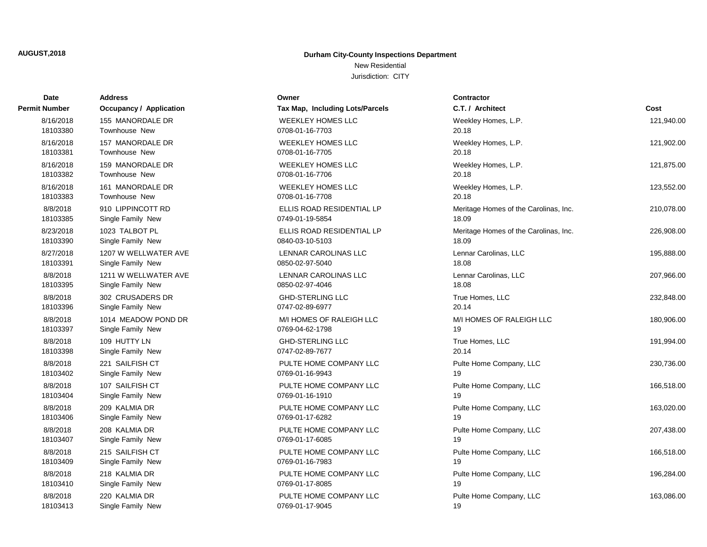New Residential Jurisdiction: CITY

| Date          | Address                        | Owner                           | <b>Contractor</b>                     |            |
|---------------|--------------------------------|---------------------------------|---------------------------------------|------------|
| Permit Number | <b>Occupancy / Application</b> | Tax Map, Including Lots/Parcels | C.T. / Architect                      | Cost       |
| 8/16/2018     | 155 MANORDALE DR               | <b>WEEKLEY HOMES LLC</b>        | Weekley Homes, L.P.                   | 121,940.00 |
| 18103380      | <b>Townhouse New</b>           | 0708-01-16-7703                 | 20.18                                 |            |
| 8/16/2018     | 157 MANORDALE DR               | <b>WEEKLEY HOMES LLC</b>        | Weekley Homes, L.P.                   | 121,902.00 |
| 18103381      | Townhouse New                  | 0708-01-16-7705                 | 20.18                                 |            |
| 8/16/2018     | 159 MANORDALE DR               | <b>WEEKLEY HOMES LLC</b>        | Weekley Homes, L.P.                   | 121,875.00 |
| 18103382      | Townhouse New                  | 0708-01-16-7706                 | 20.18                                 |            |
| 8/16/2018     | 161 MANORDALE DR               | <b>WEEKLEY HOMES LLC</b>        | Weekley Homes, L.P.                   | 123,552.00 |
| 18103383      | <b>Townhouse New</b>           | 0708-01-16-7708                 | 20.18                                 |            |
| 8/8/2018      | 910 LIPPINCOTT RD              | ELLIS ROAD RESIDENTIAL LP       | Meritage Homes of the Carolinas, Inc. | 210,078.00 |
| 18103385      | Single Family New              | 0749-01-19-5854                 | 18.09                                 |            |
| 8/23/2018     | 1023 TALBOT PL                 | ELLIS ROAD RESIDENTIAL LP       | Meritage Homes of the Carolinas, Inc. | 226,908.00 |
| 18103390      | Single Family New              | 0840-03-10-5103                 | 18.09                                 |            |
| 8/27/2018     | 1207 W WELLWATER AVE           | LENNAR CAROLINAS LLC            | Lennar Carolinas, LLC                 | 195,888.00 |
| 18103391      | Single Family New              | 0850-02-97-5040                 | 18.08                                 |            |
| 8/8/2018      | 1211 W WELLWATER AVE           | LENNAR CAROLINAS LLC            | Lennar Carolinas, LLC                 | 207,966.00 |
| 18103395      | Single Family New              | 0850-02-97-4046                 | 18.08                                 |            |
| 8/8/2018      | 302 CRUSADERS DR               | <b>GHD-STERLING LLC</b>         | True Homes, LLC                       | 232,848.00 |
| 18103396      | Single Family New              | 0747-02-89-6977                 | 20.14                                 |            |
| 8/8/2018      | 1014 MEADOW POND DR            | M/I HOMES OF RALEIGH LLC        | M/I HOMES OF RALEIGH LLC              | 180,906.00 |
| 18103397      | Single Family New              | 0769-04-62-1798                 | 19                                    |            |
| 8/8/2018      | 109 HUTTY LN                   | <b>GHD-STERLING LLC</b>         | True Homes, LLC                       | 191,994.00 |
| 18103398      | Single Family New              | 0747-02-89-7677                 | 20.14                                 |            |
| 8/8/2018      | 221 SAILFISH CT                | PULTE HOME COMPANY LLC          | Pulte Home Company, LLC               | 230,736.00 |
| 18103402      | Single Family New              | 0769-01-16-9943                 | 19                                    |            |
| 8/8/2018      | 107 SAILFISH CT                | PULTE HOME COMPANY LLC          | Pulte Home Company, LLC               | 166,518.00 |
| 18103404      | Single Family New              | 0769-01-16-1910                 | 19                                    |            |
| 8/8/2018      | 209 KALMIA DR                  | PULTE HOME COMPANY LLC          | Pulte Home Company, LLC               | 163,020.00 |
| 18103406      | Single Family New              | 0769-01-17-6282                 | 19                                    |            |
| 8/8/2018      | 208 KALMIA DR                  | PULTE HOME COMPANY LLC          | Pulte Home Company, LLC               | 207,438.00 |
| 18103407      | Single Family New              | 0769-01-17-6085                 | 19                                    |            |
| 8/8/2018      | 215 SAILFISH CT                | PULTE HOME COMPANY LLC          | Pulte Home Company, LLC               | 166,518.00 |
| 18103409      | Single Family New              | 0769-01-16-7983                 | 19                                    |            |
| 8/8/2018      | 218 KALMIA DR                  | PULTE HOME COMPANY LLC          | Pulte Home Company, LLC               | 196,284.00 |
| 18103410      | Single Family New              | 0769-01-17-8085                 | 19                                    |            |
| 8/8/2018      | 220 KALMIA DR                  | PULTE HOME COMPANY LLC          | Pulte Home Company, LLC               | 163,086.00 |
| 18103413      | Single Family New              | 0769-01-17-9045                 | 19                                    |            |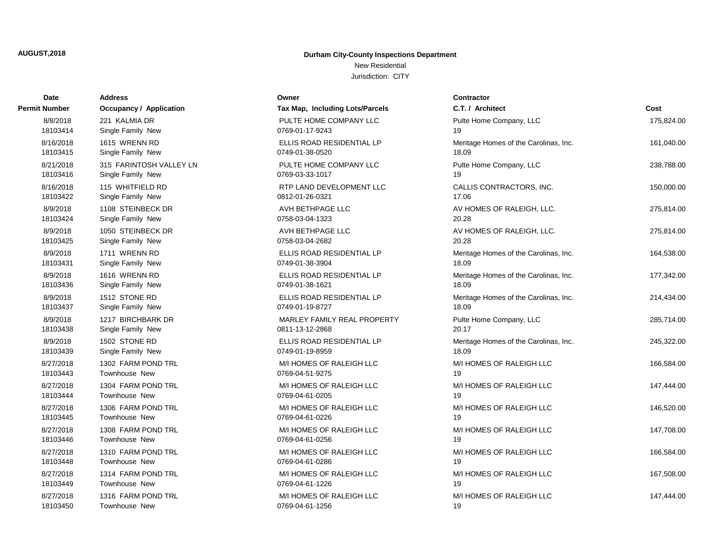New Residential

| Date          | <b>Address</b>                 | Owner                           | <b>Contractor</b>                     |            |
|---------------|--------------------------------|---------------------------------|---------------------------------------|------------|
| Permit Number | <b>Occupancy / Application</b> | Tax Map, Including Lots/Parcels | C.T. / Architect                      | Cost       |
| 8/8/2018      | 221 KALMIA DR                  | PULTE HOME COMPANY LLC          | Pulte Home Company, LLC               | 175,824.00 |
| 18103414      | Single Family New              | 0769-01-17-9243                 | 19                                    |            |
| 8/16/2018     | 1615 WRENN RD                  | ELLIS ROAD RESIDENTIAL LP       | Meritage Homes of the Carolinas, Inc. | 161,040.00 |
| 18103415      | Single Family New              | 0749-01-38-0520                 | 18.09                                 |            |
| 8/21/2018     | 315 FARINTOSH VALLEY LN        | PULTE HOME COMPANY LLC          | Pulte Home Company, LLC               | 238,788.00 |
| 18103416      | Single Family New              | 0769-03-33-1017                 | 19                                    |            |
| 8/16/2018     | 115 WHITFIELD RD               | RTP LAND DEVELOPMENT LLC        | CALLIS CONTRACTORS, INC.              | 150,000.00 |
| 18103422      | Single Family New              | 0812-01-26-0321                 | 17.06                                 |            |
| 8/9/2018      | 1108 STEINBECK DR              | AVH BETHPAGE LLC                | AV HOMES OF RALEIGH, LLC.             | 275,814.00 |
| 18103424      | Single Family New              | 0758-03-04-1323                 | 20.28                                 |            |
| 8/9/2018      | 1050 STEINBECK DR              | AVH BETHPAGE LLC                | AV HOMES OF RALEIGH, LLC.             | 275,814.00 |
| 18103425      | Single Family New              | 0758-03-04-2682                 | 20.28                                 |            |
| 8/9/2018      | 1711 WRENN RD                  | ELLIS ROAD RESIDENTIAL LP       | Meritage Homes of the Carolinas, Inc. | 164,538.00 |
| 18103431      | Single Family New              | 0749-01-38-3904                 | 18.09                                 |            |
| 8/9/2018      | 1616 WRENN RD                  | ELLIS ROAD RESIDENTIAL LP       | Meritage Homes of the Carolinas, Inc. | 177,342.00 |
| 18103436      | Single Family New              | 0749-01-38-1621                 | 18.09                                 |            |
| 8/9/2018      | 1512 STONE RD                  | ELLIS ROAD RESIDENTIAL LP       | Meritage Homes of the Carolinas, Inc. | 214,434.00 |
| 18103437      | Single Family New              | 0749-01-19-8727                 | 18.09                                 |            |
| 8/9/2018      | 1217 BIRCHBARK DR              | MARLEY FAMILY REAL PROPERTY     | Pulte Home Company, LLC               | 285,714.00 |
| 18103438      | Single Family New              | 0811-13-12-2868                 | 20.17                                 |            |
| 8/9/2018      | 1502 STONE RD                  | ELLIS ROAD RESIDENTIAL LP       | Meritage Homes of the Carolinas, Inc. | 245,322.00 |
| 18103439      | Single Family New              | 0749-01-19-8959                 | 18.09                                 |            |
| 8/27/2018     | 1302 FARM POND TRL             | M/I HOMES OF RALEIGH LLC        | M/I HOMES OF RALEIGH LLC              | 166,584.00 |
| 18103443      | <b>Townhouse New</b>           | 0769-04-51-9275                 | 19                                    |            |
| 8/27/2018     | 1304 FARM POND TRL             | M/I HOMES OF RALEIGH LLC        | M/I HOMES OF RALEIGH LLC              | 147,444.00 |
| 18103444      | Townhouse New                  | 0769-04-61-0205                 | 19                                    |            |
| 8/27/2018     | 1306 FARM POND TRL             | M/I HOMES OF RALEIGH LLC        | M/I HOMES OF RALEIGH LLC              | 146,520.00 |
| 18103445      | <b>Townhouse New</b>           | 0769-04-61-0226                 | 19                                    |            |
| 8/27/2018     | 1308 FARM POND TRL             | M/I HOMES OF RALEIGH LLC        | M/I HOMES OF RALEIGH LLC              | 147,708.00 |
| 18103446      | <b>Townhouse New</b>           | 0769-04-61-0256                 | 19                                    |            |
| 8/27/2018     | 1310 FARM POND TRL             | M/I HOMES OF RALEIGH LLC        | M/I HOMES OF RALEIGH LLC              | 166,584.00 |
| 18103448      | Townhouse New                  | 0769-04-61-0286                 | 19                                    |            |
| 8/27/2018     | 1314 FARM POND TRL             | M/I HOMES OF RALEIGH LLC        | M/I HOMES OF RALEIGH LLC              | 167,508.00 |
| 18103449      | Townhouse New                  | 0769-04-61-1226                 | 19                                    |            |
| 8/27/2018     | 1316 FARM POND TRL             | M/I HOMES OF RALEIGH LLC        | M/I HOMES OF RALEIGH LLC              | 147,444.00 |
| 18103450      | Townhouse New                  | 0769-04-61-1256                 | 19                                    |            |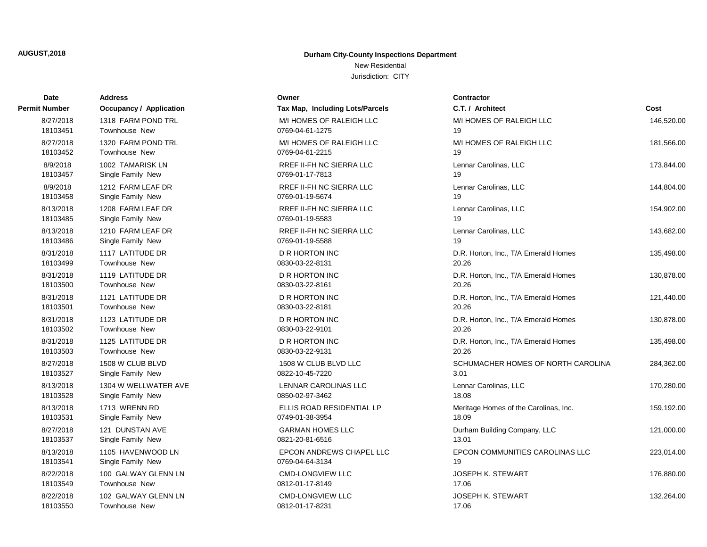New Residential

| Date          | <b>Address</b>                 | Owner                           | <b>Contractor</b>                     |            |
|---------------|--------------------------------|---------------------------------|---------------------------------------|------------|
| Permit Number | <b>Occupancy / Application</b> | Tax Map, Including Lots/Parcels | C.T. / Architect                      | Cost       |
| 8/27/2018     | 1318 FARM POND TRL             | M/I HOMES OF RALEIGH LLC        | M/I HOMES OF RALEIGH LLC              | 146,520.00 |
| 18103451      | <b>Townhouse New</b>           | 0769-04-61-1275                 | 19                                    |            |
| 8/27/2018     | 1320 FARM POND TRL             | M/I HOMES OF RALEIGH LLC        | M/I HOMES OF RALEIGH LLC              | 181,566.00 |
| 18103452      | <b>Townhouse New</b>           | 0769-04-61-2215                 | 19                                    |            |
| 8/9/2018      | 1002 TAMARISK LN               | RREF II-FH NC SIERRA LLC        | Lennar Carolinas, LLC                 | 173,844.00 |
| 18103457      | Single Family New              | 0769-01-17-7813                 | 19                                    |            |
| 8/9/2018      | 1212 FARM LEAF DR              | RREF II-FH NC SIERRA LLC        | Lennar Carolinas, LLC                 | 144,804.00 |
| 18103458      | Single Family New              | 0769-01-19-5674                 | 19                                    |            |
| 8/13/2018     | 1208 FARM LEAF DR              | <b>RREF II-FH NC SIERRA LLC</b> | Lennar Carolinas, LLC                 | 154,902.00 |
| 18103485      | Single Family New              | 0769-01-19-5583                 | 19                                    |            |
| 8/13/2018     | 1210 FARM LEAF DR              | <b>RREF II-FH NC SIERRA LLC</b> | Lennar Carolinas, LLC                 | 143,682.00 |
| 18103486      | Single Family New              | 0769-01-19-5588                 | 19                                    |            |
| 8/31/2018     | 1117 LATITUDE DR               | <b>D R HORTON INC</b>           | D.R. Horton, Inc., T/A Emerald Homes  | 135,498.00 |
| 18103499      | <b>Townhouse New</b>           | 0830-03-22-8131                 | 20.26                                 |            |
| 8/31/2018     | 1119 LATITUDE DR               | <b>D R HORTON INC</b>           | D.R. Horton, Inc., T/A Emerald Homes  | 130,878.00 |
| 18103500      | <b>Townhouse New</b>           | 0830-03-22-8161                 | 20.26                                 |            |
| 8/31/2018     | 1121 LATITUDE DR               | <b>D R HORTON INC</b>           | D.R. Horton, Inc., T/A Emerald Homes  | 121,440.00 |
| 18103501      | <b>Townhouse New</b>           | 0830-03-22-8181                 | 20.26                                 |            |
| 8/31/2018     | 1123 LATITUDE DR               | <b>D R HORTON INC</b>           | D.R. Horton, Inc., T/A Emerald Homes  | 130,878.00 |
| 18103502      | <b>Townhouse New</b>           | 0830-03-22-9101                 | 20.26                                 |            |
| 8/31/2018     | 1125 LATITUDE DR               | <b>D R HORTON INC</b>           | D.R. Horton, Inc., T/A Emerald Homes  | 135,498.00 |
| 18103503      | Townhouse New                  | 0830-03-22-9131                 | 20.26                                 |            |
| 8/27/2018     | 1508 W CLUB BLVD               | 1508 W CLUB BLVD LLC            | SCHUMACHER HOMES OF NORTH CAROLINA    | 284,362.00 |
| 18103527      | Single Family New              | 0822-10-45-7220                 | 3.01                                  |            |
| 8/13/2018     | 1304 W WELLWATER AVE           | LENNAR CAROLINAS LLC            | Lennar Carolinas, LLC                 | 170,280.00 |
| 18103528      | Single Family New              | 0850-02-97-3462                 | 18.08                                 |            |
| 8/13/2018     | 1713 WRENN RD                  | ELLIS ROAD RESIDENTIAL LP       | Meritage Homes of the Carolinas, Inc. | 159,192.00 |
| 18103531      | Single Family New              | 0749-01-38-3954                 | 18.09                                 |            |
| 8/27/2018     | 121 DUNSTAN AVE                | <b>GARMAN HOMES LLC</b>         | Durham Building Company, LLC          | 121,000.00 |
| 18103537      | Single Family New              | 0821-20-81-6516                 | 13.01                                 |            |
| 8/13/2018     | 1105 HAVENWOOD LN              | EPCON ANDREWS CHAPEL LLC        | EPCON COMMUNITIES CAROLINAS LLC       | 223,014.00 |
| 18103541      | Single Family New              | 0769-04-64-3134                 | 19                                    |            |
| 8/22/2018     | 100 GALWAY GLENN LN            | <b>CMD-LONGVIEW LLC</b>         | JOSEPH K. STEWART                     | 176,880.00 |
| 18103549      | <b>Townhouse New</b>           | 0812-01-17-8149                 | 17.06                                 |            |
| 8/22/2018     | 102 GALWAY GLENN LN            | <b>CMD-LONGVIEW LLC</b>         | <b>JOSEPH K. STEWART</b>              | 132,264.00 |
| 18103550      | Townhouse New                  | 0812-01-17-8231                 | 17.06                                 |            |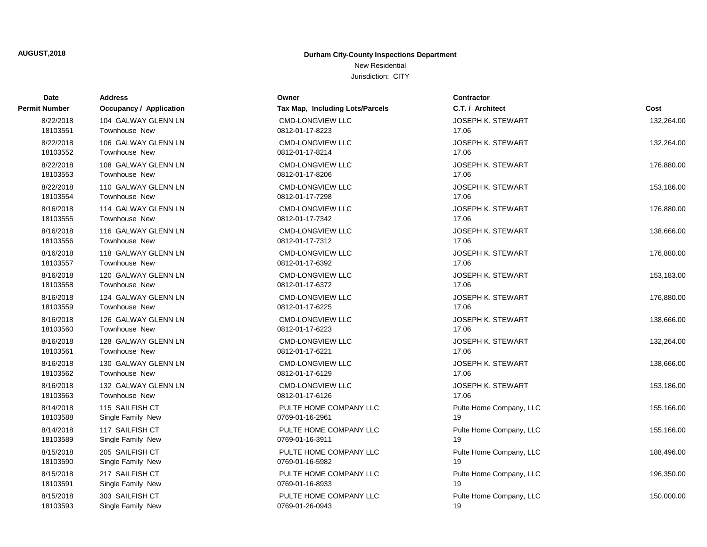# New Residential

| Date          | Address                        | Owner                           | <b>Contractor</b>        |            |
|---------------|--------------------------------|---------------------------------|--------------------------|------------|
| Permit Number | <b>Occupancy / Application</b> | Tax Map, Including Lots/Parcels | C.T. / Architect         | Cost       |
| 8/22/2018     | 104 GALWAY GLENN LN            | <b>CMD-LONGVIEW LLC</b>         | <b>JOSEPH K. STEWART</b> | 132.264.00 |
| 18103551      | Townhouse New                  | 0812-01-17-8223                 | 17.06                    |            |
| 8/22/2018     | 106 GALWAY GLENN LN            | <b>CMD-LONGVIEW LLC</b>         | <b>JOSEPH K. STEWART</b> | 132,264.00 |
| 18103552      | Townhouse New                  | 0812-01-17-8214                 | 17.06                    |            |
| 8/22/2018     | 108 GALWAY GLENN LN            | <b>CMD-LONGVIEW LLC</b>         | <b>JOSEPH K. STEWART</b> | 176,880.00 |
| 18103553      | <b>Townhouse New</b>           | 0812-01-17-8206                 | 17.06                    |            |
| 8/22/2018     | 110 GALWAY GLENN LN            | <b>CMD-LONGVIEW LLC</b>         | <b>JOSEPH K. STEWART</b> | 153,186.00 |
| 18103554      | <b>Townhouse New</b>           | 0812-01-17-7298                 | 17.06                    |            |
| 8/16/2018     | 114 GALWAY GLENN LN            | <b>CMD-LONGVIEW LLC</b>         | <b>JOSEPH K. STEWART</b> | 176,880.00 |
| 18103555      | Townhouse New                  | 0812-01-17-7342                 | 17.06                    |            |
| 8/16/2018     | 116 GALWAY GLENN LN            | <b>CMD-LONGVIEW LLC</b>         | <b>JOSEPH K. STEWART</b> | 138,666.00 |
| 18103556      | <b>Townhouse New</b>           | 0812-01-17-7312                 | 17.06                    |            |
| 8/16/2018     | 118 GALWAY GLENN LN            | <b>CMD-LONGVIEW LLC</b>         | <b>JOSEPH K. STEWART</b> | 176,880.00 |
| 18103557      | <b>Townhouse New</b>           | 0812-01-17-6392                 | 17.06                    |            |
| 8/16/2018     | 120 GALWAY GLENN LN            | <b>CMD-LONGVIEW LLC</b>         | <b>JOSEPH K. STEWART</b> | 153,183.00 |
| 18103558      | <b>Townhouse New</b>           | 0812-01-17-6372                 | 17.06                    |            |
| 8/16/2018     | 124 GALWAY GLENN LN            | <b>CMD-LONGVIEW LLC</b>         | <b>JOSEPH K. STEWART</b> | 176,880.00 |
| 18103559      | <b>Townhouse New</b>           | 0812-01-17-6225                 | 17.06                    |            |
| 8/16/2018     | 126 GALWAY GLENN LN            | <b>CMD-LONGVIEW LLC</b>         | <b>JOSEPH K. STEWART</b> | 138,666.00 |
| 18103560      | Townhouse New                  | 0812-01-17-6223                 | 17.06                    |            |
| 8/16/2018     | 128 GALWAY GLENN LN            | <b>CMD-LONGVIEW LLC</b>         | <b>JOSEPH K. STEWART</b> | 132,264.00 |
| 18103561      | Townhouse New                  | 0812-01-17-6221                 | 17.06                    |            |
| 8/16/2018     | 130 GALWAY GLENN LN            | <b>CMD-LONGVIEW LLC</b>         | <b>JOSEPH K. STEWART</b> | 138,666.00 |
| 18103562      | Townhouse New                  | 0812-01-17-6129                 | 17.06                    |            |
| 8/16/2018     | 132 GALWAY GLENN LN            | <b>CMD-LONGVIEW LLC</b>         | <b>JOSEPH K. STEWART</b> | 153,186.00 |
| 18103563      | <b>Townhouse New</b>           | 0812-01-17-6126                 | 17.06                    |            |
| 8/14/2018     | 115 SAILFISH CT                | PULTE HOME COMPANY LLC          | Pulte Home Company, LLC  | 155,166.00 |
| 18103588      | Single Family New              | 0769-01-16-2961                 | 19                       |            |
| 8/14/2018     | 117 SAILFISH CT                | PULTE HOME COMPANY LLC          | Pulte Home Company, LLC  | 155,166.00 |
| 18103589      | Single Family New              | 0769-01-16-3911                 | 19                       |            |
| 8/15/2018     | 205 SAILFISH CT                | PULTE HOME COMPANY LLC          | Pulte Home Company, LLC  | 188,496.00 |
| 18103590      | Single Family New              | 0769-01-16-5982                 | 19                       |            |
| 8/15/2018     | 217 SAILFISH CT                | PULTE HOME COMPANY LLC          | Pulte Home Company, LLC  | 196,350.00 |
| 18103591      | Single Family New              | 0769-01-16-8933                 | 19                       |            |
| 8/15/2018     | 303 SAILFISH CT                | PULTE HOME COMPANY LLC          | Pulte Home Company, LLC  | 150,000.00 |
| 18103593      | Single Family New              | 0769-01-26-0943                 | 19                       |            |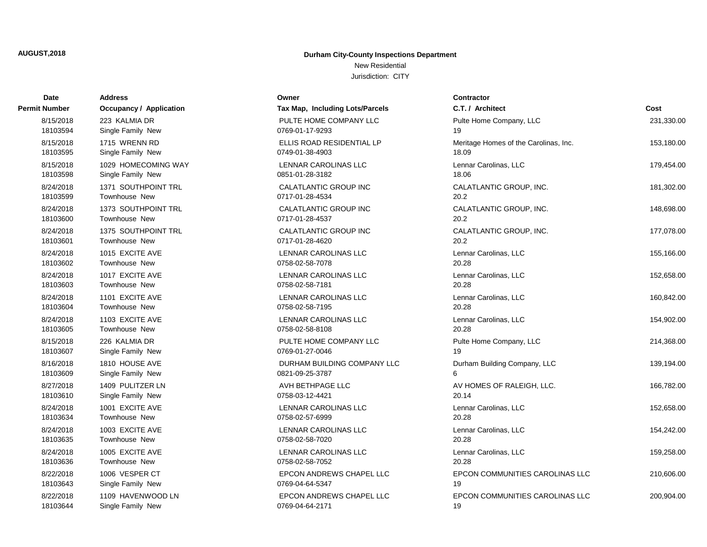New Residential

| Date          | <b>Address</b>                 | Owner                           | <b>Contractor</b>                     |            |
|---------------|--------------------------------|---------------------------------|---------------------------------------|------------|
| Permit Number | <b>Occupancy / Application</b> | Tax Map, Including Lots/Parcels | C.T. / Architect                      | Cost       |
| 8/15/2018     | 223 KALMIA DR                  | PULTE HOME COMPANY LLC          | Pulte Home Company, LLC               | 231,330.00 |
| 18103594      | Single Family New              | 0769-01-17-9293                 | 19                                    |            |
| 8/15/2018     | 1715 WRENN RD                  | ELLIS ROAD RESIDENTIAL LP       | Meritage Homes of the Carolinas, Inc. | 153,180.00 |
| 18103595      | Single Family New              | 0749-01-38-4903                 | 18.09                                 |            |
| 8/15/2018     | 1029 HOMECOMING WAY            | LENNAR CAROLINAS LLC            | Lennar Carolinas, LLC                 | 179,454.00 |
| 18103598      | Single Family New              | 0851-01-28-3182                 | 18.06                                 |            |
| 8/24/2018     | 1371 SOUTHPOINT TRL            | CALATLANTIC GROUP INC           | CALATLANTIC GROUP, INC.               | 181,302.00 |
| 18103599      | <b>Townhouse New</b>           | 0717-01-28-4534                 | 20.2                                  |            |
| 8/24/2018     | 1373 SOUTHPOINT TRL            | CALATLANTIC GROUP INC           | CALATLANTIC GROUP, INC.               | 148,698.00 |
| 18103600      | <b>Townhouse New</b>           | 0717-01-28-4537                 | 20.2                                  |            |
| 8/24/2018     | 1375 SOUTHPOINT TRL            | CALATLANTIC GROUP INC           | CALATLANTIC GROUP, INC.               | 177,078.00 |
| 18103601      | <b>Townhouse New</b>           | 0717-01-28-4620                 | 20.2                                  |            |
| 8/24/2018     | 1015 EXCITE AVE                | <b>LENNAR CAROLINAS LLC</b>     | Lennar Carolinas, LLC                 | 155,166.00 |
| 18103602      | <b>Townhouse New</b>           | 0758-02-58-7078                 | 20.28                                 |            |
| 8/24/2018     | 1017 EXCITE AVE                | <b>LENNAR CAROLINAS LLC</b>     | Lennar Carolinas, LLC                 | 152,658.00 |
| 18103603      | <b>Townhouse New</b>           | 0758-02-58-7181                 | 20.28                                 |            |
| 8/24/2018     | 1101 EXCITE AVE                | <b>LENNAR CAROLINAS LLC</b>     | Lennar Carolinas, LLC                 | 160,842.00 |
| 18103604      | <b>Townhouse New</b>           | 0758-02-58-7195                 | 20.28                                 |            |
| 8/24/2018     | 1103 EXCITE AVE                | LENNAR CAROLINAS LLC            | Lennar Carolinas, LLC                 | 154,902.00 |
| 18103605      | Townhouse New                  | 0758-02-58-8108                 | 20.28                                 |            |
| 8/15/2018     | 226 KALMIA DR                  | PULTE HOME COMPANY LLC          | Pulte Home Company, LLC               | 214,368.00 |
| 18103607      | Single Family New              | 0769-01-27-0046                 | 19                                    |            |
| 8/16/2018     | 1810 HOUSE AVE                 | DURHAM BUILDING COMPANY LLC     | Durham Building Company, LLC          | 139,194.00 |
| 18103609      | Single Family New              | 0821-09-25-3787                 | 6                                     |            |
| 8/27/2018     | 1409 PULITZER LN               | AVH BETHPAGE LLC                | AV HOMES OF RALEIGH, LLC.             | 166,782.00 |
| 18103610      | Single Family New              | 0758-03-12-4421                 | 20.14                                 |            |
| 8/24/2018     | 1001 EXCITE AVE                | <b>LENNAR CAROLINAS LLC</b>     | Lennar Carolinas, LLC                 | 152,658.00 |
| 18103634      | Townhouse New                  | 0758-02-57-6999                 | 20.28                                 |            |
| 8/24/2018     | 1003 EXCITE AVE                | LENNAR CAROLINAS LLC            | Lennar Carolinas, LLC                 | 154,242.00 |
| 18103635      | Townhouse New                  | 0758-02-58-7020                 | 20.28                                 |            |
| 8/24/2018     | 1005 EXCITE AVE                | <b>LENNAR CAROLINAS LLC</b>     | Lennar Carolinas, LLC                 | 159,258.00 |
| 18103636      | <b>Townhouse New</b>           | 0758-02-58-7052                 | 20.28                                 |            |
| 8/22/2018     | 1006 VESPER CT                 | EPCON ANDREWS CHAPEL LLC        | EPCON COMMUNITIES CAROLINAS LLC       | 210,606.00 |
| 18103643      | Single Family New              | 0769-04-64-5347                 | 19                                    |            |
| 8/22/2018     | 1109 HAVENWOOD LN              | <b>EPCON ANDREWS CHAPEL LLC</b> | EPCON COMMUNITIES CAROLINAS LLC       | 200,904.00 |
| 18103644      | Single Family New              | 0769-04-64-2171                 | 19                                    |            |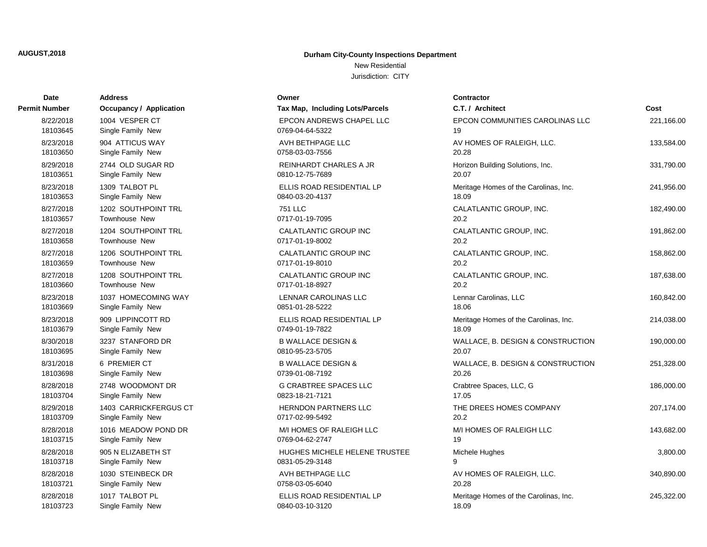New Residential

| Date                  | <b>Address</b>                        | Owner                                            | <b>Contractor</b>                          |            |
|-----------------------|---------------------------------------|--------------------------------------------------|--------------------------------------------|------------|
| Permit Number         | <b>Occupancy / Application</b>        | Tax Map, Including Lots/Parcels                  | C.T. / Architect                           | Cost       |
| 8/22/2018             | 1004 VESPER CT                        | EPCON ANDREWS CHAPEL LLC                         | EPCON COMMUNITIES CAROLINAS LLC            | 221,166.00 |
| 18103645              | Single Family New                     | 0769-04-64-5322                                  | 19                                         |            |
| 8/23/2018             | 904 ATTICUS WAY                       | AVH BETHPAGE LLC                                 | AV HOMES OF RALEIGH, LLC.                  | 133,584.00 |
| 18103650              | Single Family New                     | 0758-03-03-7556                                  | 20.28                                      |            |
| 8/29/2018             | 2744 OLD SUGAR RD                     | <b>REINHARDT CHARLES A JR</b>                    | Horizon Building Solutions, Inc.           | 331,790.00 |
| 18103651              | Single Family New                     | 0810-12-75-7689                                  | 20.07                                      |            |
| 8/23/2018             | 1309 TALBOT PL                        | ELLIS ROAD RESIDENTIAL LP                        | Meritage Homes of the Carolinas, Inc.      | 241,956.00 |
| 18103653              | Single Family New                     | 0840-03-20-4137                                  | 18.09                                      |            |
| 8/27/2018             | 1202 SOUTHPOINT TRL                   | 751 LLC                                          | CALATLANTIC GROUP, INC.                    | 182,490.00 |
| 18103657              | Townhouse New                         | 0717-01-19-7095                                  | 20.2                                       |            |
| 8/27/2018             | 1204 SOUTHPOINT TRL                   | CALATLANTIC GROUP INC                            | CALATLANTIC GROUP, INC.                    | 191,862.00 |
| 18103658              | <b>Townhouse New</b>                  | 0717-01-19-8002                                  | 20.2                                       |            |
| 8/27/2018             | 1206 SOUTHPOINT TRL                   | CALATLANTIC GROUP INC                            | CALATLANTIC GROUP, INC.                    | 158,862.00 |
| 18103659              | <b>Townhouse New</b>                  | 0717-01-19-8010                                  | 20.2                                       |            |
| 8/27/2018             | 1208 SOUTHPOINT TRL                   | <b>CALATLANTIC GROUP INC</b>                     | CALATLANTIC GROUP, INC.                    | 187,638.00 |
| 18103660              | <b>Townhouse New</b>                  | 0717-01-18-8927                                  | 20.2                                       |            |
| 8/23/2018             | 1037 HOMECOMING WAY                   | LENNAR CAROLINAS LLC                             | Lennar Carolinas, LLC                      | 160,842.00 |
| 18103669              | Single Family New                     | 0851-01-28-5222                                  | 18.06                                      |            |
| 8/23/2018             | 909 LIPPINCOTT RD                     | ELLIS ROAD RESIDENTIAL LP                        | Meritage Homes of the Carolinas, Inc.      | 214,038.00 |
| 18103679              | Single Family New                     | 0749-01-19-7822                                  | 18.09                                      |            |
| 8/30/2018<br>18103695 | 3237 STANFORD DR                      | <b>B WALLACE DESIGN &amp;</b><br>0810-95-23-5705 | WALLACE, B. DESIGN & CONSTRUCTION<br>20.07 | 190,000.00 |
|                       | Single Family New                     |                                                  |                                            |            |
| 8/31/2018<br>18103698 | 6 PREMIER CT<br>Single Family New     | <b>B WALLACE DESIGN &amp;</b><br>0739-01-08-7192 | WALLACE, B. DESIGN & CONSTRUCTION<br>20.26 | 251,328.00 |
|                       |                                       |                                                  |                                            |            |
| 8/28/2018<br>18103704 | 2748 WOODMONT DR<br>Single Family New | <b>G CRABTREE SPACES LLC</b><br>0823-18-21-7121  | Crabtree Spaces, LLC, G<br>17.05           | 186,000.00 |
| 8/29/2018             | 1403 CARRICKFERGUS CT                 | <b>HERNDON PARTNERS LLC</b>                      | THE DREES HOMES COMPANY                    | 207,174.00 |
| 18103709              | Single Family New                     | 0717-02-99-5492                                  | 20.2                                       |            |
| 8/28/2018             | 1016 MEADOW POND DR                   | M/I HOMES OF RALEIGH LLC                         | M/I HOMES OF RALEIGH LLC                   | 143,682.00 |
| 18103715              | Single Family New                     | 0769-04-62-2747                                  | 19                                         |            |
| 8/28/2018             | 905 N ELIZABETH ST                    | HUGHES MICHELE HELENE TRUSTEE                    | Michele Hughes                             | 3,800.00   |
| 18103718              | Single Family New                     | 0831-05-29-3148                                  | 9                                          |            |
| 8/28/2018             | 1030 STEINBECK DR                     | AVH BETHPAGE LLC                                 | AV HOMES OF RALEIGH, LLC.                  | 340,890.00 |
| 18103721              | Single Family New                     | 0758-03-05-6040                                  | 20.28                                      |            |
| 8/28/2018             | 1017 TALBOT PL                        | ELLIS ROAD RESIDENTIAL LP                        | Meritage Homes of the Carolinas, Inc.      | 245,322.00 |
| 18103723              | Single Family New                     | 0840-03-10-3120                                  | 18.09                                      |            |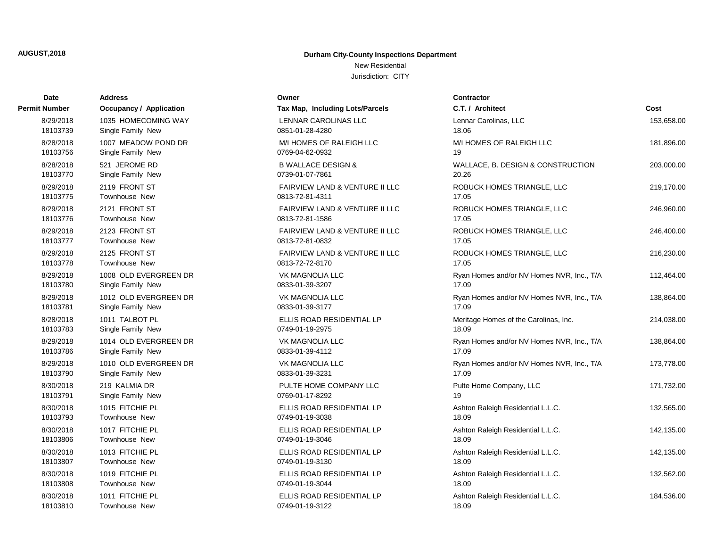New Residential

| Date                  | Address                          | Owner                                             | <b>Contractor</b>                          |            |
|-----------------------|----------------------------------|---------------------------------------------------|--------------------------------------------|------------|
| Permit Number         | <b>Occupancy / Application</b>   | Tax Map, Including Lots/Parcels                   | C.T. / Architect                           | Cost       |
| 8/29/2018             | 1035 HOMECOMING WAY              | LENNAR CAROLINAS LLC                              | Lennar Carolinas, LLC                      | 153,658.00 |
| 18103739              | Single Family New                | 0851-01-28-4280                                   | 18.06                                      |            |
| 8/28/2018             | 1007 MEADOW POND DR              | M/I HOMES OF RALEIGH LLC                          | M/I HOMES OF RALEIGH LLC                   | 181,896.00 |
| 18103756              | Single Family New                | 0769-04-62-0932                                   | 19                                         |            |
| 8/28/2018             | 521 JEROME RD                    | <b>B WALLACE DESIGN &amp;</b>                     | WALLACE, B. DESIGN & CONSTRUCTION          | 203,000.00 |
| 18103770              | Single Family New                | 0739-01-07-7861                                   | 20.26                                      |            |
| 8/29/2018             | 2119 FRONT ST                    | <b>FAIRVIEW LAND &amp; VENTURE II LLC</b>         | ROBUCK HOMES TRIANGLE, LLC                 | 219,170.00 |
| 18103775              | <b>Townhouse New</b>             | 0813-72-81-4311                                   | 17.05                                      |            |
| 8/29/2018             | 2121 FRONT ST                    | <b>FAIRVIEW LAND &amp; VENTURE II LLC</b>         | ROBUCK HOMES TRIANGLE, LLC                 | 246,960.00 |
| 18103776              | <b>Townhouse New</b>             | 0813-72-81-1586                                   | 17.05                                      |            |
| 8/29/2018<br>18103777 | 2123 FRONT ST<br>Townhouse New   | FAIRVIEW LAND & VENTURE II LLC<br>0813-72-81-0832 | ROBUCK HOMES TRIANGLE, LLC<br>17.05        | 246,400.00 |
| 8/29/2018             | 2125 FRONT ST                    |                                                   |                                            |            |
| 18103778              | <b>Townhouse New</b>             | FAIRVIEW LAND & VENTURE II LLC<br>0813-72-72-8170 | ROBUCK HOMES TRIANGLE, LLC<br>17.05        | 216,230.00 |
| 8/29/2018             | 1008 OLD EVERGREEN DR            | <b>VK MAGNOLIA LLC</b>                            | Ryan Homes and/or NV Homes NVR, Inc., T/A  | 112,464.00 |
| 18103780              | Single Family New                | 0833-01-39-3207                                   | 17.09                                      |            |
| 8/29/2018             | 1012 OLD EVERGREEN DR            | VK MAGNOLIA LLC                                   | Ryan Homes and/or NV Homes NVR, Inc., T/A  | 138,864.00 |
| 18103781              | Single Family New                | 0833-01-39-3177                                   | 17.09                                      |            |
| 8/28/2018             | 1011 TALBOT PL                   | ELLIS ROAD RESIDENTIAL LP                         | Meritage Homes of the Carolinas, Inc.      | 214,038.00 |
| 18103783              | Single Family New                | 0749-01-19-2975                                   | 18.09                                      |            |
| 8/29/2018             | 1014 OLD EVERGREEN DR            | <b>VK MAGNOLIA LLC</b>                            | Ryan Homes and/or NV Homes NVR, Inc., T/A  | 138,864.00 |
| 18103786              | Single Family New                | 0833-01-39-4112                                   | 17.09                                      |            |
| 8/29/2018             | 1010 OLD EVERGREEN DR            | <b>VK MAGNOLIA LLC</b>                            | Ryan Homes and/or NV Homes NVR, Inc., T/A  | 173,778.00 |
| 18103790              | Single Family New                | 0833-01-39-3231                                   | 17.09                                      |            |
| 8/30/2018             | 219 KALMIA DR                    | PULTE HOME COMPANY LLC                            | Pulte Home Company, LLC                    | 171,732.00 |
| 18103791              | Single Family New                | 0769-01-17-8292                                   | 19                                         |            |
| 8/30/2018             | 1015 FITCHIE PL                  | ELLIS ROAD RESIDENTIAL LP                         | Ashton Raleigh Residential L.L.C.          | 132,565.00 |
| 18103793              | <b>Townhouse New</b>             | 0749-01-19-3038                                   | 18.09                                      |            |
| 8/30/2018             | 1017 FITCHIE PL                  | ELLIS ROAD RESIDENTIAL LP                         | Ashton Raleigh Residential L.L.C.          | 142,135.00 |
| 18103806              | Townhouse New                    | 0749-01-19-3046                                   | 18.09                                      |            |
| 8/30/2018<br>18103807 | 1013 FITCHIE PL<br>Townhouse New | ELLIS ROAD RESIDENTIAL LP<br>0749-01-19-3130      | Ashton Raleigh Residential L.L.C.<br>18.09 | 142,135.00 |
|                       |                                  |                                                   |                                            |            |
| 8/30/2018<br>18103808 | 1019 FITCHIE PL<br>Townhouse New | ELLIS ROAD RESIDENTIAL LP<br>0749-01-19-3044      | Ashton Raleigh Residential L.L.C.<br>18.09 | 132,562.00 |
| 8/30/2018             | 1011 FITCHIE PL                  | ELLIS ROAD RESIDENTIAL LP                         | Ashton Raleigh Residential L.L.C.          | 184,536.00 |
| 18103810              | Townhouse New                    | 0749-01-19-3122                                   | 18.09                                      |            |
|                       |                                  |                                                   |                                            |            |